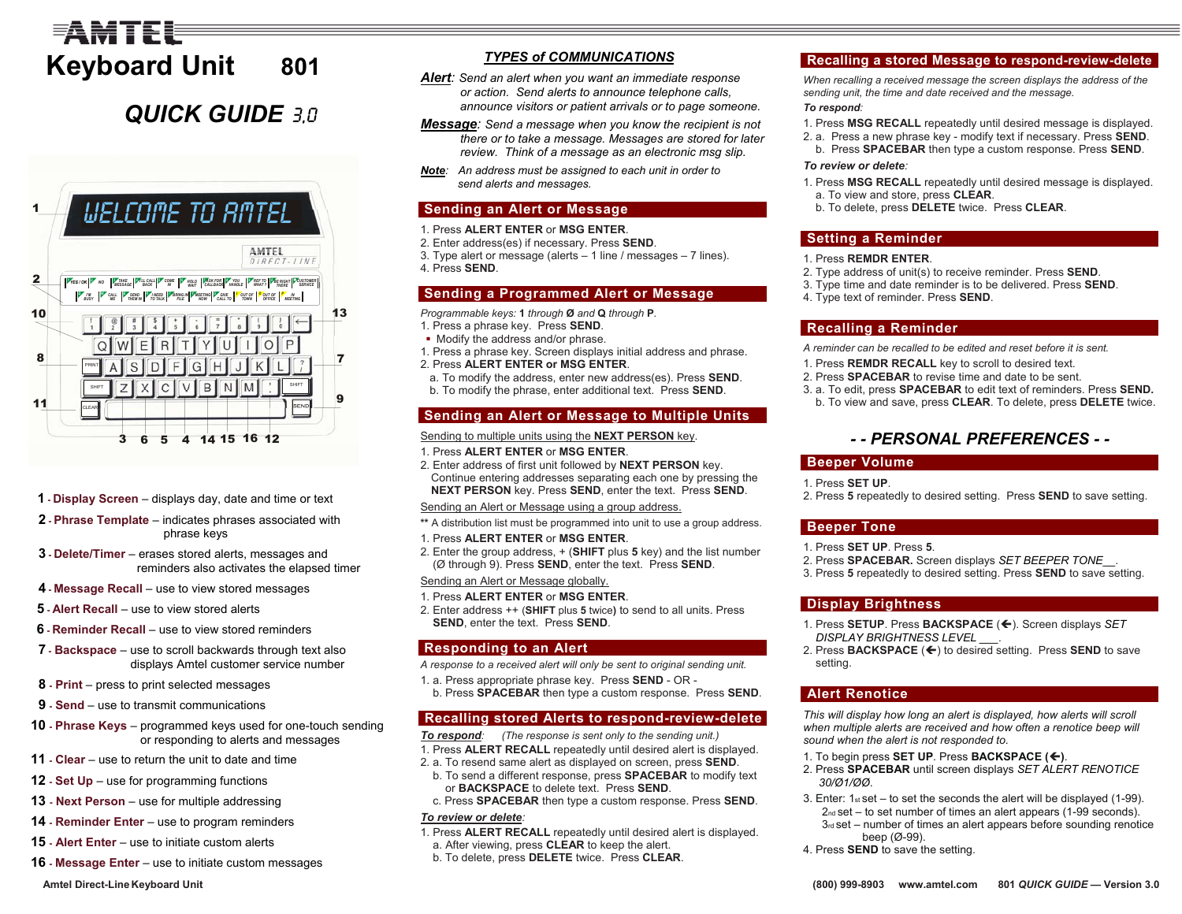# FAMTFI **Keyboard Unit 801**

## **QUICK GUIDE** 30



- **1 Display Screen** displays day, date and time or text
- **2 Phrase Te mplate** indicates phrases associated with phrase keys
- **3 - Delete/Ti mer** erases stored alerts, messages and reminders also activates the elapsed timer
- **4 Message Recall** use to view stored messages
- **5 Alert Recall** use to view stored alerts
- **6 - Reminder Recall** use to view stored reminders
- **7 - Backspace** use to scroll backwards through text also displays Amtel customer service number
- **8 - Print** press to print selected messages
- **9 - Send** use to transmit communications
- **10 - Phrase Keys** programmed keys used for one-touch sending or responding to alerts and messages
- **11 - Clear** use to return the unit to date and time
- **12 - Set Up** use for programming functions
- **13 Next Person** use for multiple addressing
- **14 - Reminder Enter** use to program reminders
- **15 - Alert Enter** use to initiate custom alerts
- **16 - Message Enter** use to initiate custom messages

#### **A mtel Direct-LineKeyboard Unit (800) 999-8903**

### *TYPES of COMMUNICATIONS*

- *Alert: Send an alert when you want an immediate response or action. Send alerts to announce telephone calls, announce visitors or patient arrivals or to page someone.*
- *Message: Send a message when you know the recipient is not there or to take a message. Messages are stored for later review. Think of a message as an electronic msg slip.*
- *Note: An address must be assigned to each unit in order to send alerts and messages.*

### **Sending an Alert or Message**

- 1. Press **ALERT ENTER** or **MSG ENTER**.
- 2. Enter address(es) if necessary. Press **SEND**.
- 3. Type alert or message (alerts 1 line / messages 7 lines).
- 4. Press **SEND**.

### **Sending a Programmed Alert or Message**

### *Programmable keys:* **1** *through* **Ø** *and* **Q** *through* **P***.*

- 1. Press a phrase key. Press **SEND**.
- Modify the address and/or phrase.
- 1. Press a phrase key. Screen displays initial address and phrase. 2. Press **ALERT ENTER or MSG ENTER**.
- 
- a. To modify the address, enter ne w address(es). Press **SEND**. b. To modify the phrase, enter additional text. Press **SEND**.

### **Sending an Alert or Message to Multiple Units**

### Sending to multiple units using the **NEXT PE RSON** key.

- 1. Press **ALERT ENTER** or **MSG ENTER**.
- 2. Enter address of first unit followed by **NEXT PERSON** key. Continue entering addresses separating each one by pressing the **NEXT PERSON** key. Press **SEND**, enter the text. Press **SEND**.

### Sending an Alert or Message using a group address.

- **\*\***A distribution list must be programmed into unit to use a group address.
- 1. Press **ALERT ENTER** or **MSG ENTER**.
- 2. Enter the group address, + (**SHIFT** plus **5** key) and the list number (Ø through 9). Press **SEND**, enter the text. Press **SEND**.

### Sending an Alert or Message globally.

- 1. Press **ALERT ENTER** or **MSG ENTER**.
- 2. Enter address ++ (**SHIFT** plus **5** twice**)** to send to all units. Press **SEND**, enter the text. Press **SEND**.

### **Responding to an Alert**

- *A response to a received alert will only be sent to original sending unit.*
- 1. a. Press appropriate phrase key. Press **SEND** OR -

### b. Press **SP A CEB A R** then type a custom response. Press **SEND**.

### **Recalling stored Alerts to res p ond-re view-delete**

### *To respond: (The response is sent only to the sending unit.)*

- 1. Press **ALERT RECALL** repeatedly until desired alert is displayed.
- 2. a. To resend same alert as displayed on screen, press **SEND**.
- b. To send a different response, press **SPACEBAR** to modify text or **BACKSPACE** to delete text. Press **SEND**.
- c. Press **SPACEBAR** then type a custom response. Press **SEND**. *To review or delete:*
- 1. Press **ALERT RECALL** repeatedly until desired alert is displayed.
- a. After viewing, press **CLE A R** to keep the alert.
- b. To delete, press **DELETE** twice. Press **CLE AR**.

### **Recalling a store d Messa ge to respond-re view-delete**

*When recalling a received message the screen displays the address of the sending unit, the time and date received and the message.* 

### *To respond:*

- 1. Press **MSG RECALL** repeatedly until desired message is displayed.
- 2. a. Press a new phrase key modify text if necessary. Press **SEND**. b. Press **SP ACEBAR** then type a custom response. Press **SEND**.

### *To review or delete:*

- 1. Press **MSG RECALL** repeatedly until desired message is displayed. a. To view and store, press **CLEA R**.
- b. To delete, press **DELETE** twice. Press **CLE AR**.

### **Setting a Reminder**

### 1. Press **REMDR ENTER**.

- 2. Type address of unit(s) to receive reminder. Press **SEND**.
- 3. Type time and date reminder is to be delivered. Press **SEND**.
- 4. Type text of reminder. Press **SEND**.

### **Recalling a Reminder**

*A reminder can be recalled to be edited and reset before it is sent.* 

- 1. Press **REMDR RECALL** key to scroll to desired text.
- 2. Press **SPACEBAR** to revise time and date to be sent.
- 3. a. To edit, press **SP ACEBAR** to edit text of reminders. Press **SEND.** b. To view and save, press **CLE AR**. To delete, press **DELETE** twice.

## *- - PERSONAL PREFERENCES - -*

### **Beeper Volume**

- 1. Press **SET UP**.
- 2. Press **5** repeatedly to desired setting. Press **SEND** to save setting.

### **Beeper Tone**

- 1. Press **SET UP**. Press **5**.
- 2. Press **SPACEBAR.** Screen displays *SET BEEPER TONE*\_\_.
- 3. Press **5** repeatedly to desired setting. Press **SEND** to save setting.

### **Display Brightness**

- 1. Press SETUP. Press BACKSPACE (←). Screen displays *SET DISPLAY BRIGHTNESS LEVEL*
- *\_\_\_.*  2. Press **BACKSPACE** (Í) to desired setting. Press **SEND** to save setting.

### **Alert Renotice**

*This will display how long an alert is displayed, how alerts will scroll when multiple alerts are received and how often a renotice beep will sound when the alert is not responded to.*

- **1. To begin press <b>SET UP**. Press **BACKSPACE (←)**.
- 2. Press **SPACEBAR** until screen displays *SET ALERT RENOTICE 30/Ø1/ØØ*.
- 3. Enter: 1st set to set the seconds the alert will be displayed (1-99). 2nd set – to set number of times an alert appears (1-99 seconds). 3rd set – number of times an alert appears before sounding renotice beep (Ø-99).
- 4. Press **SEND** to save the setting.